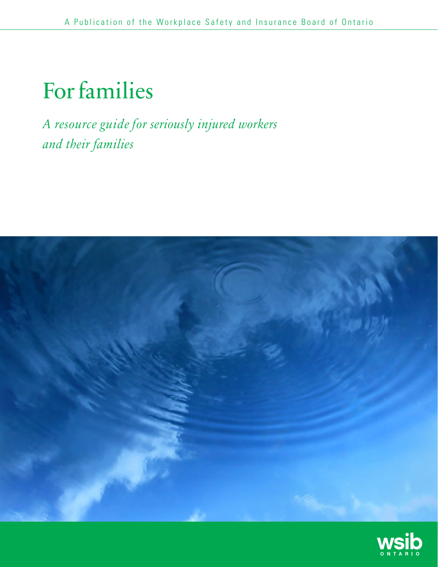# For families

*A resource guide for seriously injured workers and their families*



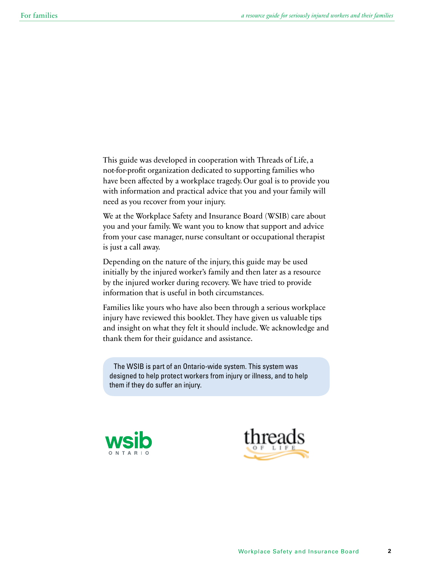This guide was developed in cooperation with Threads of Life, a not-for-profit organization dedicated to supporting families who have been affected by a workplace tragedy. Our goal is to provide you with information and practical advice that you and your family will need as you recover from your injury.

We at the Workplace Safety and Insurance Board (WSIB) care about you and your family. We want you to know that support and advice from your case manager, nurse consultant or occupational therapist is just a call away.

Depending on the nature of the injury, this guide may be used initially by the injured worker's family and then later as a resource by the injured worker during recovery. We have tried to provide information that is useful in both circumstances.

Families like yours who have also been through a serious workplace injury have reviewed this booklet. They have given us valuable tips and insight on what they felt it should include. We acknowledge and thank them for their guidance and assistance.

The WSIB is part of an Ontario-wide system. This system was designed to help protect workers from injury or illness, and to help them if they do suffer an injury.



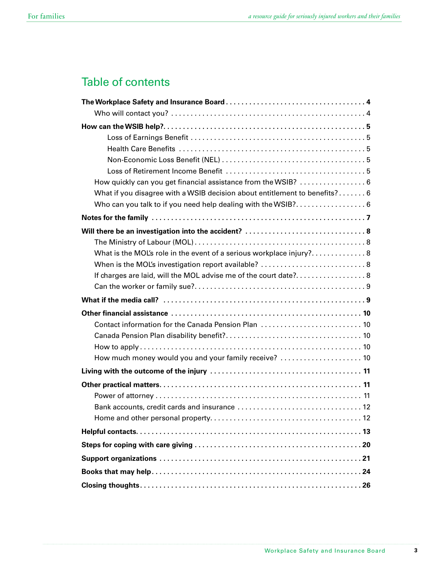# Table of contents

| How quickly can you get financial assistance from the WSIB?  6             |
|----------------------------------------------------------------------------|
| What if you disagree with a WSIB decision about entitlement to benefits? 6 |
| Who can you talk to if you need help dealing with the WSIB? 6              |
|                                                                            |
|                                                                            |
|                                                                            |
| What is the MOL's role in the event of a serious workplace injury? 8       |
| When is the MOL's investigation report available?  8                       |
|                                                                            |
|                                                                            |
|                                                                            |
|                                                                            |
|                                                                            |
|                                                                            |
|                                                                            |
|                                                                            |
| How much money would you and your family receive?  10                      |
|                                                                            |
|                                                                            |
|                                                                            |
|                                                                            |
|                                                                            |
|                                                                            |
|                                                                            |
|                                                                            |
|                                                                            |

**3**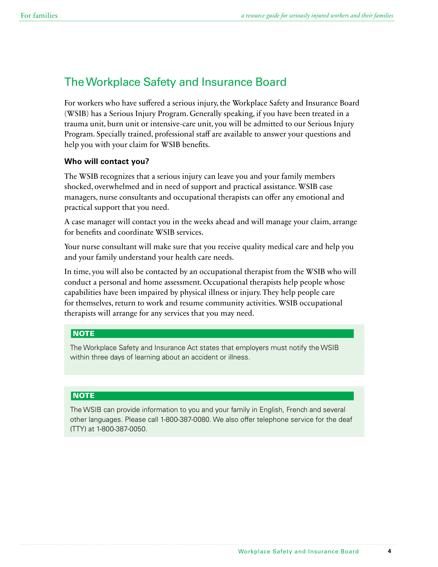# The Workplace Safety and Insurance Board

For workers who have suffered a serious injury, the Workplace Safety and Insurance Board (WSIB) has a Serious Injury Program. Generally speaking, if you have been treated in a trauma unit, burn unit or intensive-care unit, you will be admitted to our Serious Injury Program. Specially trained, professional staff are available to answer your questions and help you with your claim for WSIB benefits.

#### **Who will contact you?**

The WSIB recognizes that a serious injury can leave you and your family members shocked, overwhelmed and in need of support and practical assistance. WSIB case managers, nurse consultants and occupational therapists can offer any emotional and practical support that you need.

A case manager will contact you in the weeks ahead and will manage your claim, arrange for benefits and coordinate WSIB services.

Your nurse consultant will make sure that you receive quality medical care and help you and your family understand your health care needs.

In time, you will also be contacted by an occupational therapist from the WSIB who will conduct a personal and home assessment. Occupational therapists help people whose capabilities have been impaired by physical illness or injury. They help people care for themselves, return to work and resume community activities. WSIB occupational therapists will arrange for any services that you may need.

#### NOTE

The Workplace Safety and Insurance Act states that employers must notify the WSIB within three days of learning about an accident or illness.

#### NOTE

The WSIB can provide information to you and your family in English, French and several other languages. Please call 1-800-387-0080. We also offer telephone service for the deaf (TTY) at 1-800-387-0050.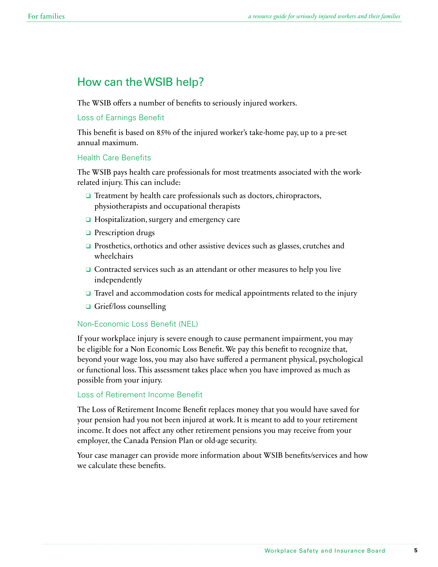# <span id="page-4-0"></span>How can the WSIB help?

The WSIB offers a number of benefits to seriously injured workers.

Loss of Earnings Benefit

This benefit is based on 85% of the injured worker's take-home pay, up to a pre-set annual maximum.

#### Health Care Benefits

The WSIB pays health care professionals for most treatments associated with the workrelated injury. This can include:

- $\Box$  Treatment by health care professionals such as doctors, chiropractors, physiotherapists and occupational therapists
- $\Box$  Hospitalization, surgery and emergency care
- $\Box$  Prescription drugs
- $\Box$  Prosthetics, orthotics and other assistive devices such as glasses, crutches and wheelchairs
- $\Box$  Contracted services such as an attendant or other measures to help you live independently
- $\Box$  Travel and accommodation costs for medical appointments related to the injury
- $\Box$  Grief/loss counselling

#### Non-Economic Loss Benefit (NEL)

If your workplace injury is severe enough to cause permanent impairment, you may be eligible for a Non Economic Loss Benefit. We pay this benefit to recognize that, beyond your wage loss, you may also have suffered a permanent physical, psychological or functional loss. This assessment takes place when you have improved as much as possible from your injury.

#### Loss of Retirement Income Benefit

The Loss of Retirement Income Benefit replaces money that you would have saved for your pension had you not been injured at work. It is meant to add to your retirement income. It does not affect any other retirement pensions you may receive from your employer, the Canada Pension Plan or old-age security.

Your case manager can provide more information about WSIB benefits/services and how we calculate these benefits.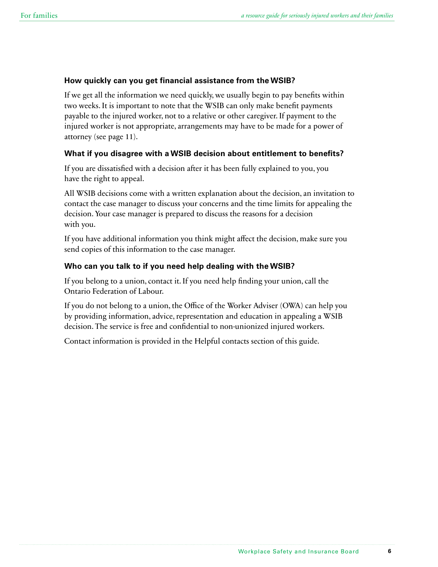#### <span id="page-5-0"></span>**How quickly can you get financial assistance from the WSIB?**

If we get all the information we need quickly, we usually begin to pay benefits within two weeks. It is important to note that the WSIB can only make benefit payments payable to the injured worker, not to a relative or other caregiver. If payment to the injured worker is not appropriate, arrangements may have to be made for a power of attorney (see page 11).

#### **What if you disagree with a WSIB decision about entitlement to benefits?**

If you are dissatisfied with a decision after it has been fully explained to you, you have the right to appeal.

All WSIB decisions come with a written explanation about the decision, an invitation to contact the case manager to discuss your concerns and the time limits for appealing the decision. Your case manager is prepared to discuss the reasons for a decision with you.

If you have additional information you think might affect the decision, make sure you send copies of this information to the case manager.

#### **Who can you talk to if you need help dealing with the WSIB?**

If you belong to a union, contact it. If you need help finding your union, call the Ontario Federation of Labour.

If you do not belong to a union, the Office of the Worker Adviser (OWA) can help you by providing information, advice, representation and education in appealing a WSIB decision. The service is free and confidential to non-unionized injured workers.

Contact information is provided in the Helpful contacts section of this guide.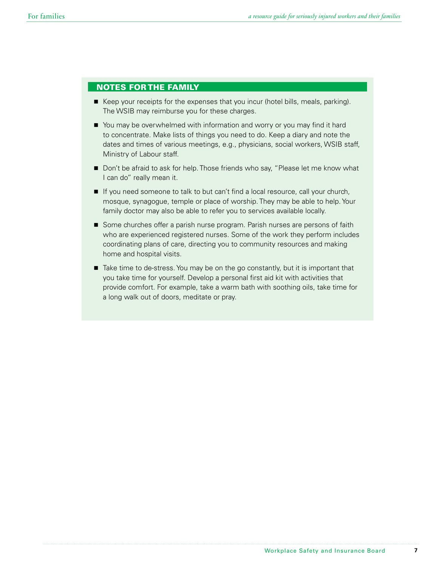#### <span id="page-6-0"></span>NOTES FOR THE FAMILY

- Keep your receipts for the expenses that you incur (hotel bills, meals, parking). The WSIB may reimburse you for these charges.
- You may be overwhelmed with information and worry or you may find it hard to concentrate. Make lists of things you need to do. Keep a diary and note the dates and times of various meetings, e.g., physicians, social workers, WSIB staff, Ministry of Labour staff.
- Don't be afraid to ask for help. Those friends who say, "Please let me know what I can do" really mean it.
- If you need someone to talk to but can't find a local resource, call your church, mosque, synagogue, temple or place of worship. They may be able to help. Your family doctor may also be able to refer you to services available locally.
- Some churches offer a parish nurse program. Parish nurses are persons of faith who are experienced registered nurses. Some of the work they perform includes coordinating plans of care, directing you to community resources and making home and hospital visits.
- Take time to de-stress. You may be on the go constantly, but it is important that you take time for yourself. Develop a personal first aid kit with activities that provide comfort. For example, take a warm bath with soothing oils, take time for a long walk out of doors, meditate or pray.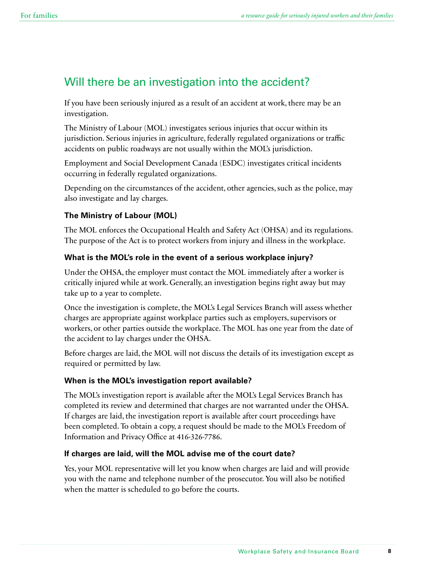# <span id="page-7-0"></span>Will there be an investigation into the accident?

If you have been seriously injured as a result of an accident at work, there may be an investigation.

The Ministry of Labour (MOL) investigates serious injuries that occur within its jurisdiction. Serious injuries in agriculture, federally regulated organizations or traffic accidents on public roadways are not usually within the MOL's jurisdiction.

Employment and Social Development Canada (ESDC) investigates critical incidents occurring in federally regulated organizations.

Depending on the circumstances of the accident, other agencies, such as the police, may also investigate and lay charges.

#### **The Ministry of Labour (MOL)**

The MOL enforces the Occupational Health and Safety Act (OHSA) and its regulations. The purpose of the Act is to protect workers from injury and illness in the workplace.

#### **What is the MOL's role in the event of a serious workplace injury?**

Under the OHSA, the employer must contact the MOL immediately after a worker is critically injured while at work. Generally, an investigation begins right away but may take up to a year to complete.

Once the investigation is complete, the MOL's Legal Services Branch will assess whether charges are appropriate against workplace parties such as employers, supervisors or workers, or other parties outside the workplace. The MOL has one year from the date of the accident to lay charges under the OHSA.

Before charges are laid, the MOL will not discuss the details of its investigation except as required or permitted by law.

#### **When is the MOL's investigation report available?**

The MOL's investigation report is available after the MOL's Legal Services Branch has completed its review and determined that charges are not warranted under the OHSA. If charges are laid, the investigation report is available after court proceedings have been completed. To obtain a copy, a request should be made to the MOL's Freedom of Information and Privacy Office at 416-326-7786.

#### **If charges are laid, will the MOL advise me of the court date?**

Yes, your MOL representative will let you know when charges are laid and will provide you with the name and telephone number of the prosecutor. You will also be notified when the matter is scheduled to go before the courts.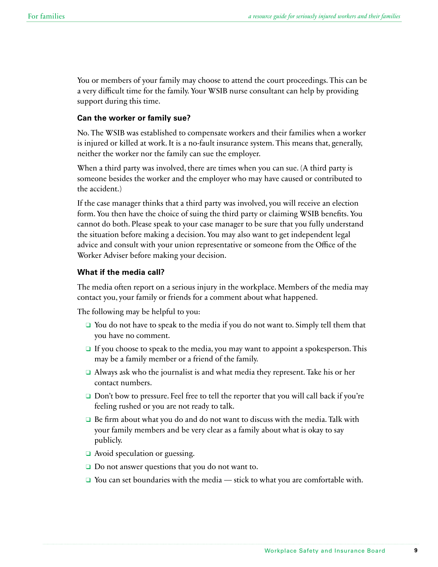<span id="page-8-0"></span>You or members of your family may choose to attend the court proceedings. This can be a very difficult time for the family. Your WSIB nurse consultant can help by providing support during this time.

#### **Can the worker or family sue?**

No. The WSIB was established to compensate workers and their families when a worker is injured or killed at work. It is a no-fault insurance system. This means that, generally, neither the worker nor the family can sue the employer.

When a third party was involved, there are times when you can sue. (A third party is someone besides the worker and the employer who may have caused or contributed to the accident.)

If the case manager thinks that a third party was involved, you will receive an election form. You then have the choice of suing the third party or claiming WSIB benefits. You cannot do both. Please speak to your case manager to be sure that you fully understand the situation before making a decision. You may also want to get independent legal advice and consult with your union representative or someone from the Office of the Worker Adviser before making your decision.

#### **What if the media call?**

The media often report on a serious injury in the workplace. Members of the media may contact you, your family or friends for a comment about what happened.

The following may be helpful to you:

- $\Box$  You do not have to speak to the media if you do not want to. Simply tell them that you have no comment.
- $\Box$  If you choose to speak to the media, you may want to appoint a spokesperson. This may be a family member or a friend of the family.
- $\Box$  Always ask who the journalist is and what media they represent. Take his or her contact numbers.
- $\Box$  Don't bow to pressure. Feel free to tell the reporter that you will call back if you're feeling rushed or you are not ready to talk.
- $\Box$  Be firm about what you do and do not want to discuss with the media. Talk with your family members and be very clear as a family about what is okay to say publicly.
- $\Box$  Avoid speculation or guessing.
- $\Box$  Do not answer questions that you do not want to.
- $\Box$  You can set boundaries with the media stick to what you are comfortable with.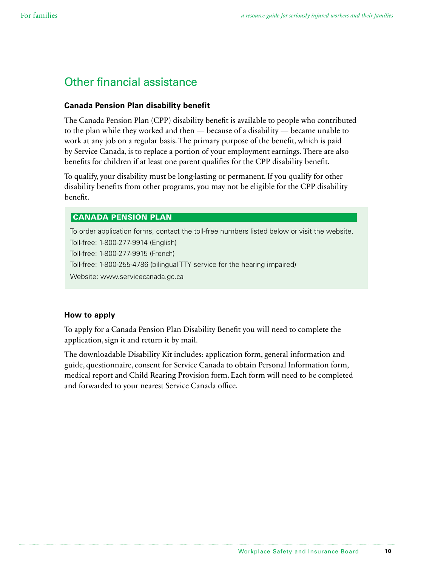# <span id="page-9-0"></span>Other financial assistance

#### **Canada Pension Plan disability benefit**

The Canada Pension Plan (CPP) disability benefit is available to people who contributed to the plan while they worked and then — because of a disability — became unable to work at any job on a regular basis. The primary purpose of the benefit, which is paid by Service Canada, is to replace a portion of your employment earnings. There are also benefits for children if at least one parent qualifies for the CPP disability benefit.

To qualify, your disability must be long-lasting or permanent. If you qualify for other disability benefits from other programs, you may not be eligible for the CPP disability benefit.

#### CANADA PENSION PLAN

To order application forms, contact the toll-free numbers listed below or visit the website. Toll-free: 1-800-277-9914 (English) Toll-free: 1-800-277-9915 (French) Toll-free: 1-800-255-4786 (bilingual TTY service for the hearing impaired) Website: www.servicecanada.gc.ca

#### **How to apply**

To apply for a Canada Pension Plan Disability Benefit you will need to complete the application, sign it and return it by mail.

The downloadable Disability Kit includes: application form, general information and guide, questionnaire, consent for Service Canada to obtain Personal Information form, medical report and Child Rearing Provision form. Each form will need to be completed and forwarded to your nearest Service Canada office.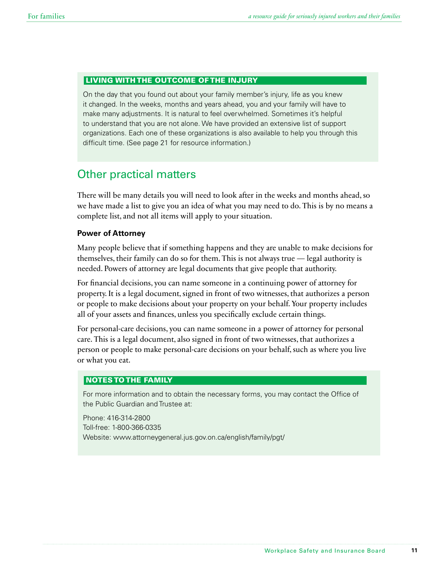#### <span id="page-10-0"></span>LIVING WITH THE OUTCOME OF THE INJURY

On the day that you found out about your family member's injury, life as you knew it changed. In the weeks, months and years ahead, you and your family will have to make many adjustments. It is natural to feel overwhelmed. Sometimes it's helpful to understand that you are not alone. We have provided an extensive list of support organizations. Each one of these organizations is also available to help you through this difficult time. (See page 21 for resource information.)

## Other practical matters

There will be many details you will need to look after in the weeks and months ahead, so we have made a list to give you an idea of what you may need to do. This is by no means a complete list, and not all items will apply to your situation.

#### **Power of Attorney**

Many people believe that if something happens and they are unable to make decisions for themselves, their family can do so for them. This is not always true — legal authority is needed. Powers of attorney are legal documents that give people that authority.

For financial decisions, you can name someone in a continuing power of attorney for property. It is a legal document, signed in front of two witnesses, that authorizes a person or people to make decisions about your property on your behalf. Your property includes all of your assets and finances, unless you specifically exclude certain things.

For personal-care decisions, you can name someone in a power of attorney for personal care. This is a legal document, also signed in front of two witnesses, that authorizes a person or people to make personal-care decisions on your behalf, such as where you live or what you eat.

#### NOTES TO THE FAMILY

For more information and to obtain the necessary forms, you may contact the Office of the Public Guardian and Trustee at:

Phone: 416-314-2800 Toll-free: 1-800-366-0335 Website: www.attorneygeneral.jus.gov.on.ca/english/family/pgt/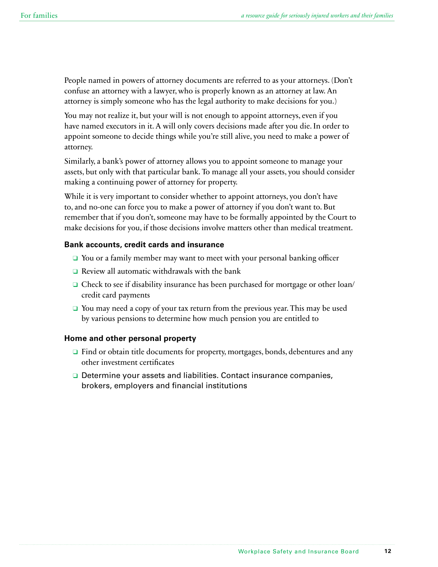<span id="page-11-0"></span>People named in powers of attorney documents are referred to as your attorneys. (Don't confuse an attorney with a lawyer, who is properly known as an attorney at law. An attorney is simply someone who has the legal authority to make decisions for you.)

You may not realize it, but your will is not enough to appoint attorneys, even if you have named executors in it. A will only covers decisions made after you die. In order to appoint someone to decide things while you're still alive, you need to make a power of attorney.

Similarly, a bank's power of attorney allows you to appoint someone to manage your assets, but only with that particular bank. To manage all your assets, you should consider making a continuing power of attorney for property.

While it is very important to consider whether to appoint attorneys, you don't have to, and no-one can force you to make a power of attorney if you don't want to. But remember that if you don't, someone may have to be formally appointed by the Court to make decisions for you, if those decisions involve matters other than medical treatment.

#### **Bank accounts, credit cards and insurance**

- $\Box$  You or a family member may want to meet with your personal banking officer
- $\Box$  Review all automatic withdrawals with the bank
- $\Box$  Check to see if disability insurance has been purchased for mortgage or other loan/ credit card payments
- $\Box$  You may need a copy of your tax return from the previous year. This may be used by various pensions to determine how much pension you are entitled to

#### **Home and other personal property**

- $\Box$  Find or obtain title documents for property, mortgages, bonds, debentures and any other investment certificates
- □ Determine your assets and liabilities. Contact insurance companies, brokers, employers and financial institutions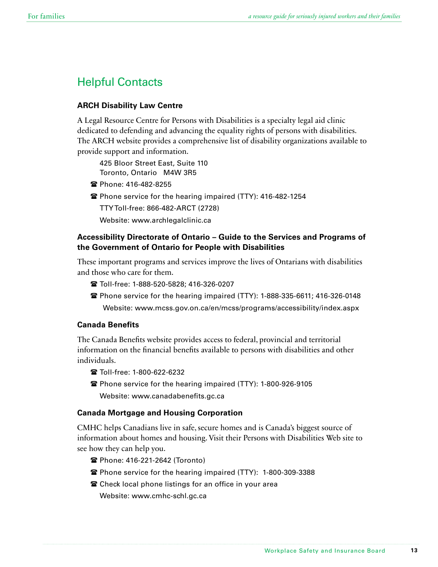# <span id="page-12-0"></span>Helpful Contacts

#### **ARCH Disability Law Centre**

A Legal Resource Centre for Persons with Disabilities is a specialty legal aid clinic dedicated to defending and advancing the equality rights of persons with disabilities. The ARCH website provides a comprehensive list of disability organizations available to provide support and information.

425 Bloor Street East, Suite 110 Toronto, Ontario M4W 3R5

- **☎ Phone: 416-482-8255**
- **Phone service for the hearing impaired (TTY): 416-482-1254**

TTY Toll-free: 866-482-ARCT (2728)

Website: www.archlegalclinic.ca

#### **Accessibility Directorate of Ontario – Guide to the Services and Programs of the Government of Ontario for People with Disabilities**

These important programs and services improve the lives of Ontarians with disabilities and those who care for them.

- **Toll-free: 1-888-520-5828; 416-326-0207**
- $\hat{\mathbf{z}}$  Phone service for the hearing impaired (TTY): 1-888-335-6611; 416-326-0148 Website: www.mcss.gov.on.ca/en/mcss/programs/accessibility/index.aspx

#### **Canada Benefits**

The Canada Benefits website provides access to federal, provincial and territorial information on the financial benefits available to persons with disabilities and other individuals.

- **Toll-free: 1-800-622-6232**
- **<sup>2</sup>** Phone service for the hearing impaired (TTY): 1-800-926-9105 Website: www.canadabenefits.gc.ca

#### **Canada Mortgage and Housing Corporation**

CMHC helps Canadians live in safe, secure homes and is Canada's biggest source of information about homes and housing. Visit their Persons with Disabilities Web site to see how they can help you.

- **@ Phone: 416-221-2642 (Toronto)**
- Phone service for the hearing impaired (TTY): 1-800-309-3388
- **Check local phone listings for an office in your area**

Website: www.cmhc-schl.gc.ca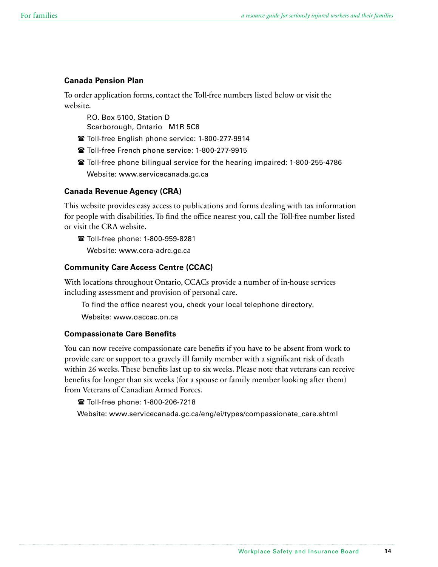#### **Canada Pension Plan**

To order application forms, contact the Toll-free numbers listed below or visit the website.

P.O. Box 5100, Station D

Scarborough, Ontario M1R 5C8

- **Toll-free English phone service: 1-800-277-9914**
- **Toll-free French phone service: 1-800-277-9915**
- **The Toll-free phone bilingual service for the hearing impaired: 1-800-255-4786** Website: www.servicecanada.gc.ca

#### **Canada Revenue Agency (CRA)**

This website provides easy access to publications and forms dealing with tax information for people with disabilities. To find the office nearest you, call the Toll-free number listed or visit the CRA website.

**■ Toll-free phone: 1-800-959-8281** Website: www.ccra-adrc.gc.ca

#### **Community Care Access Centre (CCAC)**

With locations throughout Ontario, CCACs provide a number of in-house services including assessment and provision of personal care.

To find the office nearest you, check your local telephone directory.

Website: www.oaccac.on.ca

#### **Compassionate Care Benefits**

You can now receive compassionate care benefits if you have to be absent from work to provide care or support to a gravely ill family member with a significant risk of death within 26 weeks. These benefits last up to six weeks. Please note that veterans can receive benefits for longer than six weeks (for a spouse or family member looking after them) from Veterans of Canadian Armed Forces.

**■ Toll-free phone: 1-800-206-7218** 

Website: www.servicecanada.gc.ca/eng/ei/types/compassionate\_care.shtml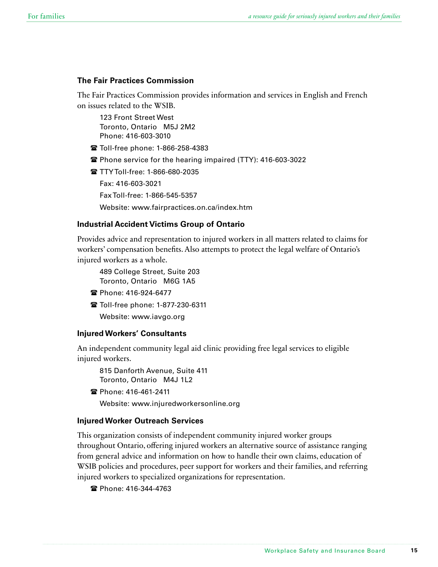#### **The Fair Practices Commission**

The Fair Practices Commission provides information and services in English and French on issues related to the WSIB.

123 Front Street West Toronto, Ontario M5J 2M2 Phone: 416-603-3010

**■ Toll-free phone: 1-866-258-4383** 

**■ Phone service for the hearing impaired (TTY): 416-603-3022** 

**■ TTY Toll-free: 1-866-680-2035** 

Fax: 416-603-3021 Fax Toll-free: 1-866-545-5357 Website: www.fairpractices.on.ca/index.htm

#### **Industrial Accident Victims Group of Ontario**

Provides advice and representation to injured workers in all matters related to claims for workers' compensation benefits. Also attempts to protect the legal welfare of Ontario's injured workers as a whole.

489 College Street, Suite 203 Toronto, Ontario M6G 1A5

- **Phone: 416-924-6477**
- **Toll-free phone: 1-877-230-6311**

Website: www.iavgo.org

#### **Injured Workers' Consultants**

An independent community legal aid clinic providing free legal services to eligible injured workers.

815 Danforth Avenue, Suite 411 Toronto, Ontario M4J 1L2

( Phone: 416-461-2411

Website: www.injuredworkersonline.org

#### **Injured Worker Outreach Services**

This organization consists of independent community injured worker groups throughout Ontario, offering injured workers an alternative source of assistance ranging from general advice and information on how to handle their own claims, education of WSIB policies and procedures, peer support for workers and their families, and referring injured workers to specialized organizations for representation.

■ Phone: 416-344-4763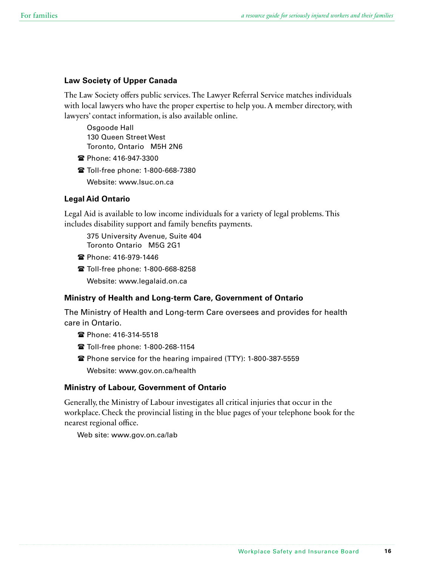#### **Law Society of Upper Canada**

The Law Society offers public services. The Lawyer Referral Service matches individuals with local lawyers who have the proper expertise to help you. A member directory, with lawyers' contact information, is also available online.

Osgoode Hall 130 Queen Street West Toronto, Ontario M5H 2N6

- **Phone: 416-947-3300**
- **Toll-free phone: 1-800-668-7380** Website: www.lsuc.on.ca

#### **Legal Aid Ontario**

Legal Aid is available to low income individuals for a variety of legal problems. This includes disability support and family benefits payments.

375 University Avenue, Suite 404 Toronto Ontario M5G 2G1

- Phone: 416-979-1446
- **Toll-free phone: 1-800-668-8258**

Website: www.legalaid.on.ca

#### **Ministry of Health and Long-term Care, Government of Ontario**

The Ministry of Health and Long-term Care oversees and provides for health care in Ontario.

- **Phone: 416-314-5518**
- **Toll-free phone: 1-800-268-1154**
- **Phone service for the hearing impaired (TTY): 1-800-387-5559** Website: www.gov.on.ca/health

#### **Ministry of Labour, Government of Ontario**

Generally, the Ministry of Labour investigates all critical injuries that occur in the workplace. Check the provincial listing in the blue pages of your telephone book for the nearest regional office.

Web site: www.gov.on.ca/lab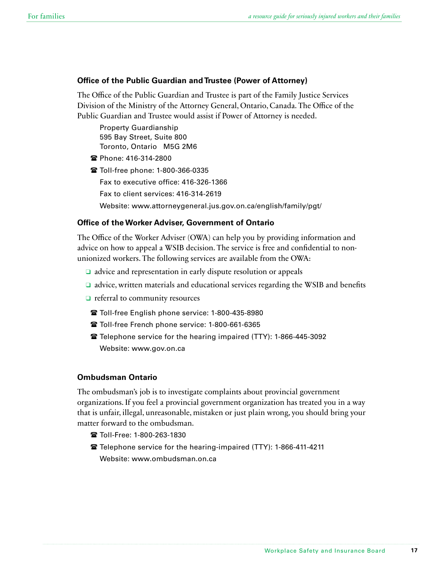#### **Office of the Public Guardian and Trustee (Power of Attorney)**

The Office of the Public Guardian and Trustee is part of the Family Justice Services Division of the Ministry of the Attorney General, Ontario, Canada. The Office of the Public Guardian and Trustee would assist if Power of Attorney is needed.

Property Guardianship 595 Bay Street, Suite 800 Toronto, Ontario M5G 2M6

- **Phone: 416-314-2800**
- **Toll-free phone: 1-800-366-0335**

Fax to executive office: 416-326-1366

Fax to client services: 416-314-2619

Website: www.attorneygeneral.jus.gov.on.ca/english/family/pgt/

#### **Office of the Worker Adviser, Government of Ontario**

The Office of the Worker Adviser (OWA) can help you by providing information and advice on how to appeal a WSIB decision. The service is free and confidential to nonunionized workers. The following services are available from the OWA:

- $\Box$  advice and representation in early dispute resolution or appeals
- $\Box$  advice, written materials and educational services regarding the WSIB and benefits
- $\Box$  referral to community resources
- <sup>2</sup> Toll-free English phone service: 1-800-435-8980
- Toll-free French phone service: 1-800-661-6365
- **Telephone service for the hearing impaired (TTY): 1-866-445-3092** Website: www.gov.on.ca

#### **Ombudsman Ontario**

The ombudsman's job is to investigate complaints about provincial government organizations. If you feel a provincial government organization has treated you in a way that is unfair, illegal, unreasonable, mistaken or just plain wrong, you should bring your matter forward to the ombudsman.

- **Toll-Free: 1-800-263-1830**
- **Telephone service for the hearing-impaired (TTY): 1-866-411-4211** Website: www.ombudsman.on.ca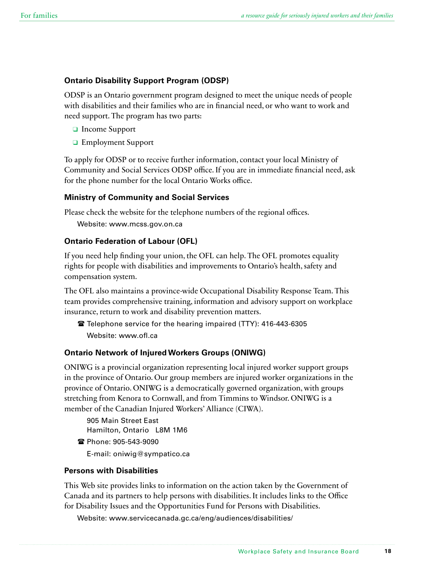#### <span id="page-17-0"></span>**Ontario Disability Support Program (ODSP)**

ODSP is an Ontario government program designed to meet the unique needs of people with disabilities and their families who are in financial need, or who want to work and need support. The program has two parts:

- **□** Income Support
- **□** Employment Support

To apply for ODSP or to receive further information, contact your local Ministry of Community and Social Services ODSP office. If you are in immediate financial need, ask for the phone number for the local Ontario Works office.

#### **Ministry of Community and Social Services**

Please check the website for the telephone numbers of the regional offices.

Website: www.mcss.gov.on.ca

#### **Ontario Federation of Labour (OFL)**

If you need help finding your union, the OFL can help. The OFL promotes equality rights for people with disabilities and improvements to Ontario's health, safety and compensation system.

The OFL also maintains a province-wide Occupational Disability Response Team. This team provides comprehensive training, information and advisory support on workplace insurance, return to work and disability prevention matters.

**■** Telephone service for the hearing impaired (TTY): 416-443-6305 Website: www.ofl.ca

#### **Ontario Network of Injured Workers Groups (ONIWG)**

ONIWG is a provincial organization representing local injured worker support groups in the province of Ontario. Our group members are injured worker organizations in the province of Ontario. ONIWG is a democratically governed organization, with groups stretching from Kenora to Cornwall, and from Timmins to Windsor. ONIWG is a member of the Canadian Injured Workers' Alliance (CIWA).

905 Main Street East Hamilton, Ontario L8M 1M6

**■ Phone: 905-543-9090** 

E-mail: oniwig@sympatico.ca

#### **Persons with Disabilities**

This Web site provides links to information on the action taken by the Government of Canada and its partners to help persons with disabilities. It includes links to the Office for Disability Issues and the Opportunities Fund for Persons with Disabilities.

Website: www.servicecanada.gc.ca/eng/audiences/disabilities/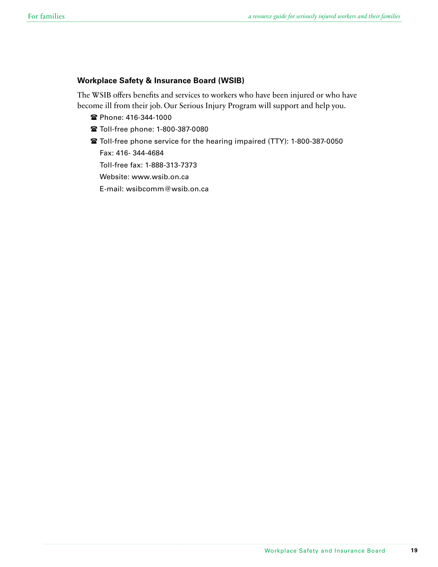#### <span id="page-18-0"></span>**Workplace Safety & Insurance Board (WSIB)**

The WSIB offers benefits and services to workers who have been injured or who have become ill from their job. Our Serious Injury Program will support and help you.

- **Phone: 416-344-1000**
- **Toll-free phone: 1-800-387-0080**
- **Toll-free phone service for the hearing impaired (TTY): 1-800-387-0050**

Fax: 416- 344-4684

Toll-free fax: 1-888-313-7373

Website: www.wsib.on.ca

E-mail: wsibcomm@wsib.on.ca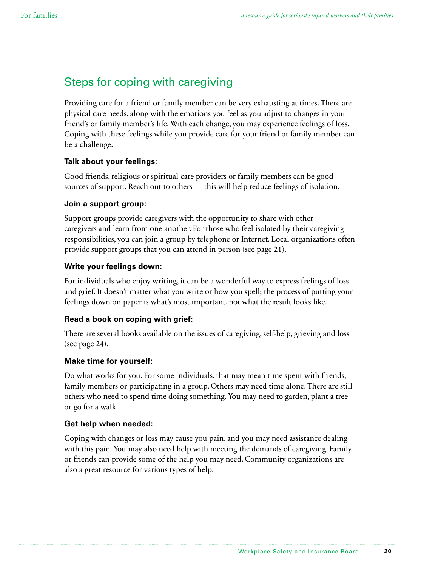# Steps for coping with caregiving

Providing care for a friend or family member can be very exhausting at times. There are physical care needs, along with the emotions you feel as you adjust to changes in your friend's or family member's life. With each change, you may experience feelings of loss. Coping with these feelings while you provide care for your friend or family member can be a challenge.

#### **Talk about your feelings:**

Good friends, religious or spiritual-care providers or family members can be good sources of support. Reach out to others — this will help reduce feelings of isolation.

#### **Join a support group:**

Support groups provide caregivers with the opportunity to share with other caregivers and learn from one another. For those who feel isolated by their caregiving responsibilities, you can join a group by telephone or Internet. Local organizations often provide support groups that you can attend in person (see page 21).

#### **Write your feelings down:**

For individuals who enjoy writing, it can be a wonderful way to express feelings of loss and grief. It doesn't matter what you write or how you spell; the process of putting your feelings down on paper is what's most important, not what the result looks like.

#### **Read a book on coping with grief:**

There are several books available on the issues of caregiving, self-help, grieving and loss (see page 24).

#### **Make time for yourself:**

Do what works for you. For some individuals, that may mean time spent with friends, family members or participating in a group. Others may need time alone. There are still others who need to spend time doing something. You may need to garden, plant a tree or go for a walk.

#### **Get help when needed:**

Coping with changes or loss may cause you pain, and you may need assistance dealing with this pain. You may also need help with meeting the demands of caregiving. Family or friends can provide some of the help you may need. Community organizations are also a great resource for various types of help.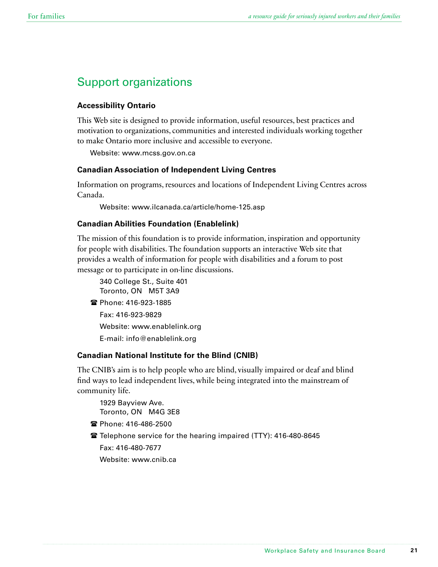# <span id="page-20-0"></span>Support organizations

#### **Accessibility Ontario**

This Web site is designed to provide information, useful resources, best practices and motivation to organizations, communities and interested individuals working together to make Ontario more inclusive and accessible to everyone.

Website: www.mcss.gov.on.ca

#### **Canadian Association of Independent Living Centres**

Information on programs, resources and locations of Independent Living Centres across Canada.

Website: www.ilcanada.ca/article/home-125.asp

#### **Canadian Abilities Foundation (Enablelink)**

The mission of this foundation is to provide information, inspiration and opportunity for people with disabilities. The foundation supports an interactive Web site that provides a wealth of information for people with disabilities and a forum to post message or to participate in on-line discussions.

340 College St., Suite 401 Toronto, ON M5T 3A9 **■ Phone: 416-923-1885** Fax: 416-923-9829 Website: www.enablelink.org E-mail: info@enablelink.org

#### **Canadian National Institute for the Blind (CNIB)**

The CNIB's aim is to help people who are blind, visually impaired or deaf and blind find ways to lead independent lives, while being integrated into the mainstream of community life.

1929 Bayview Ave. Toronto, ON M4G 3E8

**•** Phone: 416-486-2500

**■** Telephone service for the hearing impaired (TTY): 416-480-8645

Fax: 416-480-7677

Website: www.cnib.ca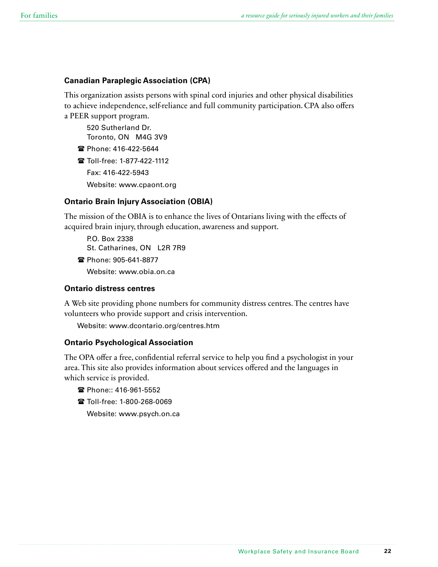#### <span id="page-21-0"></span>**Canadian Paraplegic Association (CPA)**

This organization assists persons with spinal cord injuries and other physical disabilities to achieve independence, self-reliance and full community participation. CPA also offers a PEER support program.

520 Sutherland Dr. Toronto, ON M4G 3V9

- **Phone: 416-422-5644**
- **•** Toll-free: 1-877-422-1112

Fax: 416-422-5943

Website: www.cpaont.org

#### **Ontario Brain Injury Association (OBIA)**

The mission of the OBIA is to enhance the lives of Ontarians living with the effects of acquired brain injury, through education, awareness and support.

P.O. Box 2338 St. Catharines, ON L2R 7R9

**■ Phone: 905-641-8877** 

Website: www.obia.on.ca

#### **Ontario distress centres**

A Web site providing phone numbers for community distress centres. The centres have volunteers who provide support and crisis intervention.

Website: www.dcontario.org/centres.htm

#### **Ontario Psychological Association**

The OPA offer a free, confidential referral service to help you find a psychologist in your area. This site also provides information about services offered and the languages in which service is provided.

- Phone:: 416-961-5552
- **Toll-free: 1-800-268-0069**

Website: www.psych.on.ca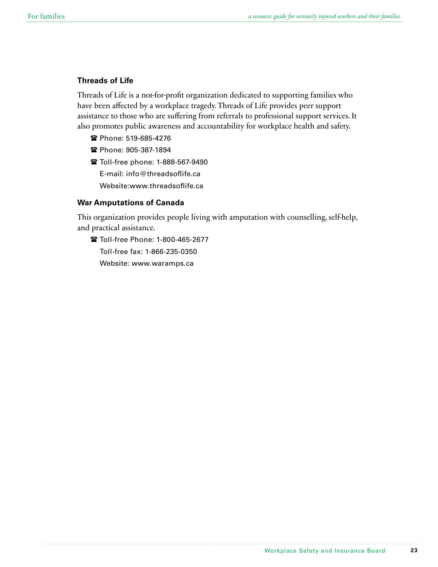#### **Threads of Life**

Threads of Life is a not-for-profit organization dedicated to supporting families who have been affected by a workplace tragedy. Threads of Life provides peer support assistance to those who are suffering from referrals to professional support services. It also promotes public awareness and accountability for workplace health and safety.

- ( Phone: 519-685-4276
- **Phone: 905-387-1894**

**■ Toll-free phone: 1-888-567-9490** 

E-mail: info@threadsoflife.ca

Website:www.threadsoflife.ca

#### **War Amputations of Canada**

This organization provides people living with amputation with counselling, self-help, and practical assistance.

**■ Toll-free Phone: 1-800-465-2677** Toll-free fax: 1-866-235-0350 Website: www.waramps.ca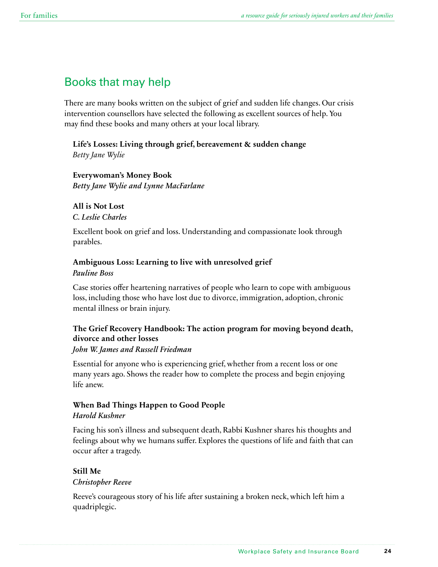# Books that may help

There are many books written on the subject of grief and sudden life changes. Our crisis intervention counsellors have selected the following as excellent sources of help. You may find these books and many others at your local library.

**Life's Losses: Living through grief, bereavement & sudden change** *Betty Jane Wylie*

#### **Everywoman's Money Book**

*Betty Jane Wylie and Lynne MacFarlane*

#### **All is Not Lost**

*C. Leslie Charles*

Excellent book on grief and loss. Understanding and compassionate look through parables.

#### **Ambiguous Loss: Learning to live with unresolved grief** *Pauline Boss*

Case stories offer heartening narratives of people who learn to cope with ambiguous loss, including those who have lost due to divorce, immigration, adoption, chronic mental illness or brain injury.

#### **The Grief Recovery Handbook: The action program for moving beyond death, divorce and other losses**

#### *John W. James and Russell Friedman*

Essential for anyone who is experiencing grief, whether from a recent loss or one many years ago. Shows the reader how to complete the process and begin enjoying life anew.

### **When Bad Things Happen to Good People**

#### *Harold Kushner*

Facing his son's illness and subsequent death, Rabbi Kushner shares his thoughts and feelings about why we humans suffer. Explores the questions of life and faith that can occur after a tragedy.

#### **Still Me**

#### *Christopher Reeve*

Reeve's courageous story of his life after sustaining a broken neck, which left him a quadriplegic.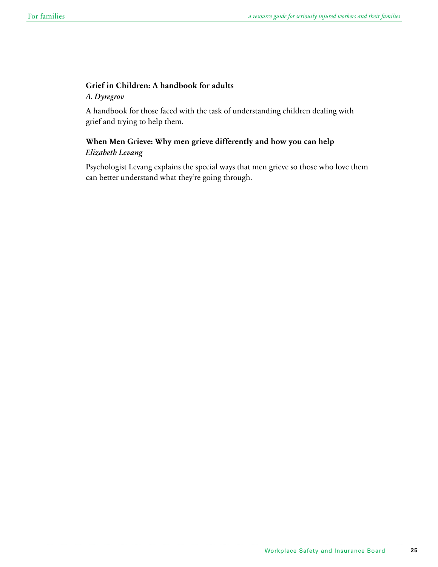#### **Grief in Children: A handbook for adults**

*A. Dyregrov*

A handbook for those faced with the task of understanding children dealing with grief and trying to help them.

#### **When Men Grieve: Why men grieve differently and how you can help** *Elizabeth Levang*

Psychologist Levang explains the special ways that men grieve so those who love them can better understand what they're going through.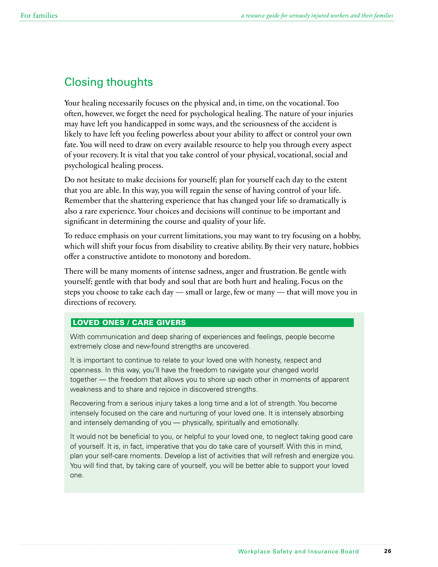# Closing thoughts

Your healing necessarily focuses on the physical and, in time, on the vocational. Too often, however, we forget the need for psychological healing. The nature of your injuries may have left you handicapped in some ways, and the seriousness of the accident is likely to have left you feeling powerless about your ability to affect or control your own fate. You will need to draw on every available resource to help you through every aspect of your recovery. It is vital that you take control of your physical, vocational, social and psychological healing process.

Do not hesitate to make decisions for yourself; plan for yourself each day to the extent that you are able. In this way, you will regain the sense of having control of your life. Remember that the shattering experience that has changed your life so dramatically is also a rare experience. Your choices and decisions will continue to be important and significant in determining the course and quality of your life.

To reduce emphasis on your current limitations, you may want to try focusing on a hobby, which will shift your focus from disability to creative ability. By their very nature, hobbies offer a constructive antidote to monotony and boredom.

There will be many moments of intense sadness, anger and frustration. Be gentle with yourself; gentle with that body and soul that are both hurt and healing. Focus on the steps you choose to take each day — small or large, few or many — that will move you in directions of recovery.

#### LOVED ONES / CARE GIVERS

With communication and deep sharing of experiences and feelings, people become extremely close and new-found strengths are uncovered.

It is important to continue to relate to your loved one with honesty, respect and openness. In this way, you'll have the freedom to navigate your changed world together — the freedom that allows you to shore up each other in moments of apparent weakness and to share and rejoice in discovered strengths.

Recovering from a serious injury takes a long time and a lot of strength. You become intensely focused on the care and nurturing of your loved one. It is intensely absorbing and intensely demanding of you — physically, spiritually and emotionally.

It would not be beneficial to you, or helpful to your loved one, to neglect taking good care of yourself. It is, in fact, imperative that you do take care of yourself. With this in mind, plan your self-care moments. Develop a list of activities that will refresh and energize you. You will find that, by taking care of yourself, you will be better able to support your loved one.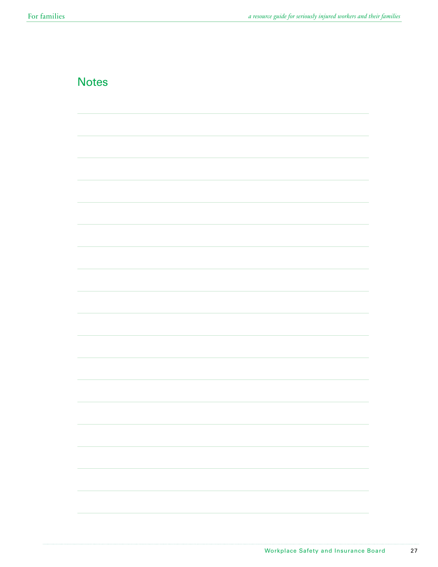| <b>Notes</b> |  |
|--------------|--|
|              |  |
|              |  |
|              |  |
|              |  |
|              |  |
|              |  |
|              |  |
|              |  |
|              |  |
|              |  |
|              |  |
|              |  |
|              |  |
|              |  |
|              |  |
|              |  |
|              |  |
|              |  |
|              |  |
|              |  |
|              |  |